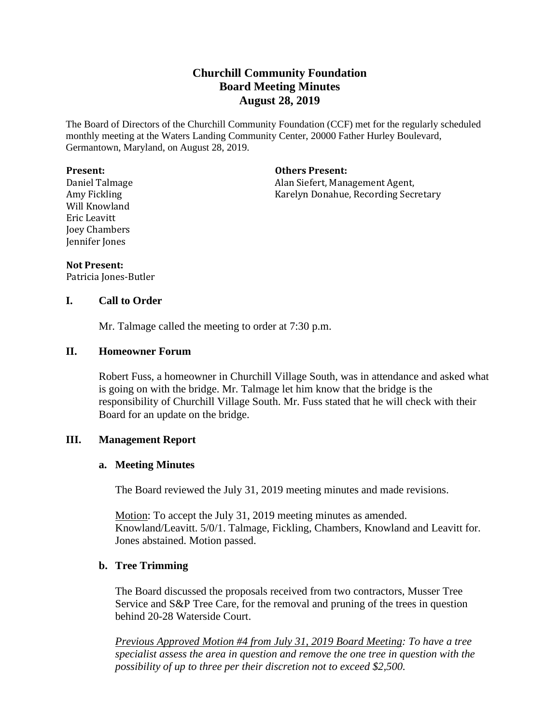# **Churchill Community Foundation Board Meeting Minutes August 28, 2019**

The Board of Directors of the Churchill Community Foundation (CCF) met for the regularly scheduled monthly meeting at the Waters Landing Community Center, 20000 Father Hurley Boulevard, Germantown, Maryland, on August 28, 2019.

#### **Present:**

Daniel Talmage Amy Fickling Will Knowland Eric Leavitt Joey Chambers Jennifer Jones

**Others Present:**

Alan Siefert, Management Agent, Karelyn Donahue, Recording Secretary

#### **Not Present:**

Patricia Jones-Butler

#### **I. Call to Order**

Mr. Talmage called the meeting to order at 7:30 p.m.

#### **II. Homeowner Forum**

Robert Fuss, a homeowner in Churchill Village South, was in attendance and asked what is going on with the bridge. Mr. Talmage let him know that the bridge is the responsibility of Churchill Village South. Mr. Fuss stated that he will check with their Board for an update on the bridge.

# **III. Management Report**

#### **a. Meeting Minutes**

The Board reviewed the July 31, 2019 meeting minutes and made revisions.

Motion: To accept the July 31, 2019 meeting minutes as amended. Knowland/Leavitt. 5/0/1. Talmage, Fickling, Chambers, Knowland and Leavitt for. Jones abstained. Motion passed.

# **b. Tree Trimming**

The Board discussed the proposals received from two contractors, Musser Tree Service and S&P Tree Care, for the removal and pruning of the trees in question behind 20-28 Waterside Court.

*Previous Approved Motion #4 from July 31, 2019 Board Meeting: To have a tree specialist assess the area in question and remove the one tree in question with the possibility of up to three per their discretion not to exceed \$2,500.*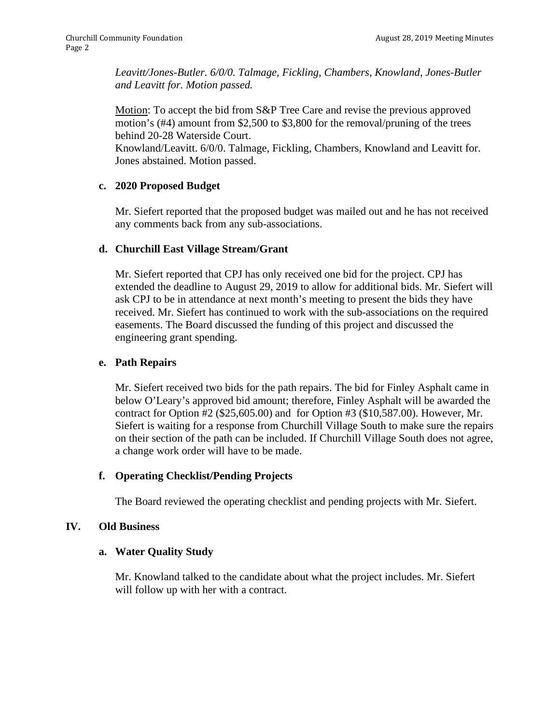*Leavitt/Jones-Butler. 6/0/0. Talmage, Fickling, Chambers, Knowland, Jones-Butler and Leavitt for. Motion passed.* 

Motion: To accept the bid from S&P Tree Care and revise the previous approved motion's (#4) amount from \$2,500 to \$3,800 for the removal/pruning of the trees behind 20-28 Waterside Court.

Knowland/Leavitt. 6/0/0. Talmage, Fickling, Chambers, Knowland and Leavitt for. Jones abstained. Motion passed.

# **c. 2020 Proposed Budget**

Mr. Siefert reported that the proposed budget was mailed out and he has not received any comments back from any sub-associations.

# **d. Churchill East Village Stream/Grant**

Mr. Siefert reported that CPJ has only received one bid for the project. CPJ has extended the deadline to August 29, 2019 to allow for additional bids. Mr. Siefert will ask CPJ to be in attendance at next month's meeting to present the bids they have received. Mr. Siefert has continued to work with the sub-associations on the required easements. The Board discussed the funding of this project and discussed the engineering grant spending.

# **e. Path Repairs**

Mr. Siefert received two bids for the path repairs. The bid for Finley Asphalt came in below O'Leary's approved bid amount; therefore, Finley Asphalt will be awarded the contract for Option #2 (\$25,605.00) and for Option #3 (\$10,587.00). However, Mr. Siefert is waiting for a response from Churchill Village South to make sure the repairs on their section of the path can be included. If Churchill Village South does not agree, a change work order will have to be made.

# **f. Operating Checklist/Pending Projects**

The Board reviewed the operating checklist and pending projects with Mr. Siefert.

# **IV. Old Business**

# **a. Water Quality Study**

Mr. Knowland talked to the candidate about what the project includes. Mr. Siefert will follow up with her with a contract.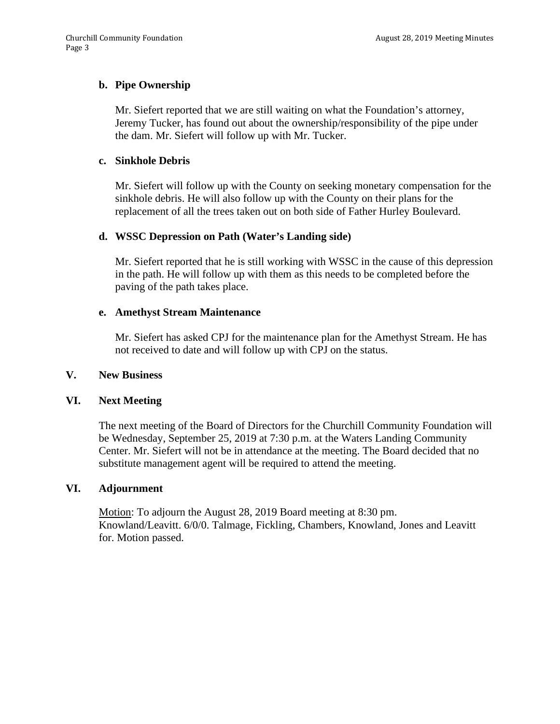# **b. Pipe Ownership**

Mr. Siefert reported that we are still waiting on what the Foundation's attorney, Jeremy Tucker, has found out about the ownership/responsibility of the pipe under the dam. Mr. Siefert will follow up with Mr. Tucker.

#### **c. Sinkhole Debris**

Mr. Siefert will follow up with the County on seeking monetary compensation for the sinkhole debris. He will also follow up with the County on their plans for the replacement of all the trees taken out on both side of Father Hurley Boulevard.

#### **d. WSSC Depression on Path (Water's Landing side)**

Mr. Siefert reported that he is still working with WSSC in the cause of this depression in the path. He will follow up with them as this needs to be completed before the paving of the path takes place.

#### **e. Amethyst Stream Maintenance**

Mr. Siefert has asked CPJ for the maintenance plan for the Amethyst Stream. He has not received to date and will follow up with CPJ on the status.

#### **V. New Business**

# **VI. Next Meeting**

The next meeting of the Board of Directors for the Churchill Community Foundation will be Wednesday, September 25, 2019 at 7:30 p.m. at the Waters Landing Community Center. Mr. Siefert will not be in attendance at the meeting. The Board decided that no substitute management agent will be required to attend the meeting.

#### **VI. Adjournment**

Motion: To adjourn the August 28, 2019 Board meeting at 8:30 pm. Knowland/Leavitt. 6/0/0. Talmage, Fickling, Chambers, Knowland, Jones and Leavitt for. Motion passed.